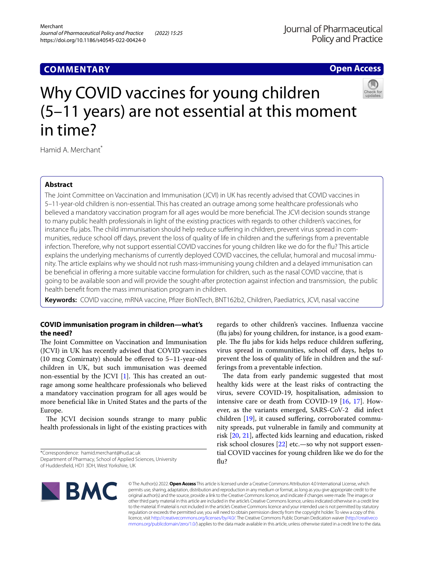# **Open Access**



# Why COVID vaccines for young children (5–11 years) are not essential at this moment in time?

Hamid A. Merchant<sup>\*</sup>

# **Abstract**

The Joint Committee on Vaccination and Immunisation (JCVI) in UK has recently advised that COVID vaccines in 5–11-year-old children is non-essential. This has created an outrage among some healthcare professionals who believed a mandatory vaccination program for all ages would be more benefcial. The JCVI decision sounds strange to many public health professionals in light of the existing practices with regards to other children's vaccines, for instance fu jabs. The child immunisation should help reduce sufering in children, prevent virus spread in communities, reduce school off days, prevent the loss of quality of life in children and the sufferings from a preventable infection. Therefore, why not support essential COVID vaccines for young children like we do for the flu? This article explains the underlying mechanisms of currently deployed COVID vaccines, the cellular, humoral and mucosal immunity. The article explains why we should not rush mass-immunising young children and a delayed immunisation can be benefcial in ofering a more suitable vaccine formulation for children, such as the nasal COVID vaccine, that is going to be available soon and will provide the sought-after protection against infection and transmission, the public health beneft from the mass immunisation program in children.

**Keywords:** COVID vaccine, mRNA vaccine, Pfzer BioNTech, BNT162b2, Children, Paediatrics, JCVI, nasal vaccine

# **COVID immunisation program in children—what's the need?**

The Joint Committee on Vaccination and Immunisation (JCVI) in UK has recently advised that COVID vaccines (10 mcg Comirnaty) should be ofered to 5–11-year-old children in UK, but such immunisation was deemed non-essential by the JCVI  $[1]$  $[1]$ . This has created an outrage among some healthcare professionals who believed a mandatory vaccination program for all ages would be more benefcial like in United States and the parts of the Europe.

The JCVI decision sounds strange to many public health professionals in light of the existing practices with

\*Correspondence: hamid.merchant@hud.ac.uk Department of Pharmacy, School of Applied Sciences, University

of Huddersfeld, HD1 3DH, West Yorkshire, UK

regards to other children's vaccines. Infuenza vaccine (fu jabs) for young children, for instance, is a good example. The flu jabs for kids helps reduce children suffering, virus spread in communities, school off days, helps to prevent the loss of quality of life in children and the sufferings from a preventable infection.

The data from early pandemic suggested that most healthy kids were at the least risks of contracting the virus, severe COVID-19, hospitalisation, admission to intensive care or death from COVID-19 [[16,](#page-3-0) [17](#page-3-1)]. However, as the variants emerged, SARS-CoV-2 did infect children [\[19](#page-3-2)], it caused sufering, corroborated community spreads, put vulnerable in family and community at risk [[20,](#page-3-3) [21\]](#page-3-4), afected kids learning and education, risked risk school closures  $[22]$  etc.—so why not support essential COVID vaccines for young children like we do for the flu?



© The Author(s) 2022. **Open Access** This article is licensed under a Creative Commons Attribution 4.0 International License, which permits use, sharing, adaptation, distribution and reproduction in any medium or format, as long as you give appropriate credit to the original author(s) and the source, provide a link to the Creative Commons licence, and indicate if changes were made. The images or other third party material in this article are included in the article's Creative Commons licence, unless indicated otherwise in a credit line to the material. If material is not included in the article's Creative Commons licence and your intended use is not permitted by statutory regulation or exceeds the permitted use, you will need to obtain permission directly from the copyright holder. To view a copy of this licence, visit [http://creativecommons.org/licenses/by/4.0/.](http://creativecommons.org/licenses/by/4.0/) The Creative Commons Public Domain Dedication waiver ([http://creativeco](http://creativecommons.org/publicdomain/zero/1.0/) [mmons.org/publicdomain/zero/1.0/](http://creativecommons.org/publicdomain/zero/1.0/)) applies to the data made available in this article, unless otherwise stated in a credit line to the data.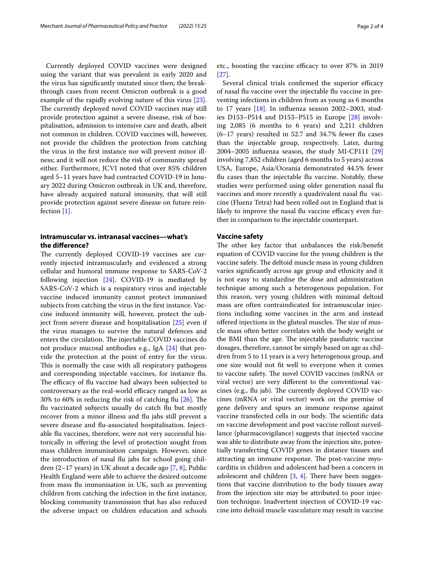Currently deployed COVID vaccines were designed using the variant that was prevalent in early 2020 and the virus has signifcantly mutated since then; the breakthrough cases from recent Omicron outbreak is a good example of the rapidly evolving nature of this virus [\[23](#page-3-6)]. The currently deployed novel COVID vaccines may still provide protection against a severe disease, risk of hospitalisation, admission to intensive care and death, albeit not common in children. COVID vaccines will, however, not provide the children the protection from catching the virus in the frst instance nor will prevent minor illness; and it will not reduce the risk of community spread either. Furthermore, JCVI noted that over 85% children aged 5–11 years have had contracted COVID-19 in January 2022 during Omicron outbreak in UK and, therefore, have already acquired natural immunity, that will still provide protection against severe disease on future reinfection [[1\]](#page-2-0).

# **Intramuscular vs. intranasal vaccines—what's the diference?**

The currently deployed COVID-19 vaccines are currently injected intramuscularly and evidenced a strong cellular and humoral immune response to SARS-CoV-2 following injection [[24\]](#page-3-7). COVID-19 is mediated by SARS-CoV-2 which is a respiratory virus and injectable vaccine induced immunity cannot protect immunised subjects from catching the virus in the frst instance. Vaccine induced immunity will, however, protect the subject from severe disease and hospitalisation [[25\]](#page-3-8) even if the virus manages to survive the natural defences and enters the circulation. The injectable COVID vaccines do not produce mucosal antibodies e.g., IgA [\[24](#page-3-7)] that provide the protection at the point of entry for the virus. This is normally the case with all respiratory pathogens and corresponding injectable vaccines, for instance fu. The efficacy of flu vaccine had always been subjected to controversary as the real-world efficacy ranged as low as 30% to 60% in reducing the risk of catching flu  $[26]$  $[26]$ . The fu vaccinated subjects usually do catch fu but mostly recover from a minor illness and fu jabs still prevent a severe disease and fu-associated hospitalisation. Injectable fu vaccines, therefore, were not very successful historically in ofering the level of protection sought from mass children immunisation campaign. However, since the introduction of nasal fu jabs for school going children (2–17 years) in UK about a decade ago [\[7](#page-2-1), [8\]](#page-2-2), Public Health England were able to achieve the desired outcome from mass fu immunisation in UK, such as preventing children from catching the infection in the frst instance, blocking community transmission that has also reduced the adverse impact on children education and schools etc., boosting the vaccine efficacy to over 87% in 2019 [[27\]](#page-3-10).

Several clinical trials confirmed the superior efficacy of nasal fu vaccine over the injectable fu vaccine in preventing infections in children from as young as 6 months to 17 years [[18\]](#page-3-11). In infuenza season 2002–2003, studies D153–P514 and D153–P515 in Europe [[28\]](#page-3-12) involving 2,085 (6 months to 6 years) and 2,211 children  $(6-17 \text{ years})$  resulted in 52.7 and 34.7% fewer flu cases than the injectable group, respectively. Later, during 2004–2005 infuenza season, the study MI-CP111 [[29](#page-3-13)] involving 7,852 children (aged 6 months to 5 years) across USA, Europe, Asia/Oceania demonstrated 44.5% fewer fu cases than the injectable fu vaccine. Notably, these studies were performed using older generation nasal fu vaccines and more recently a quadrivalent nasal flu vaccine (Fluenz Tetra) had been rolled out in England that is likely to improve the nasal flu vaccine efficacy even further in comparison to the injectable counterpart.

## **Vaccine safety**

The other key factor that unbalances the risk/benefit equation of COVID vaccine for the young children is the vaccine safety. The deltoid muscle mass in young children varies signifcantly across age group and ethnicity and it is not easy to standardise the dose and administration technique among such a heterogenous population. For this reason, very young children with minimal deltoid mass are often contraindicated for intramuscular injections including some vaccines in the arm and instead offered injections in the gluteal muscles. The size of muscle mass often better correlates with the body weight or the BMI than the age. The injectable paediatric vaccine dosages, therefore, cannot be simply based on age as children from 5 to 11 years is a very heterogenous group, and one size would not ft well to everyone when it comes to vaccine safety. The novel COVID vaccines (mRNA or viral vector) are very diferent to the conventional vaccines (e.g., flu jab). The currently deployed COVID vaccines (mRNA or viral vector) work on the premise of gene delivery and spurs an immune response against vaccine transfected cells in our body. The scientific data on vaccine development and post vaccine rollout surveillance (pharmacovigilance) suggests that injected vaccine was able to distribute away from the injection site, potentially transfecting COVID genes in distance tissues and attracting an immune response. The post-vaccine myocarditis in children and adolescent had been a concern in adolescent and children  $[3, 4]$  $[3, 4]$  $[3, 4]$  $[3, 4]$  $[3, 4]$ . There have been suggestions that vaccine distribution to the body tissues away from the injection site may be attributed to poor injection technique. Inadvertent injection of COVID-19 vaccine into deltoid muscle vasculature may result in vaccine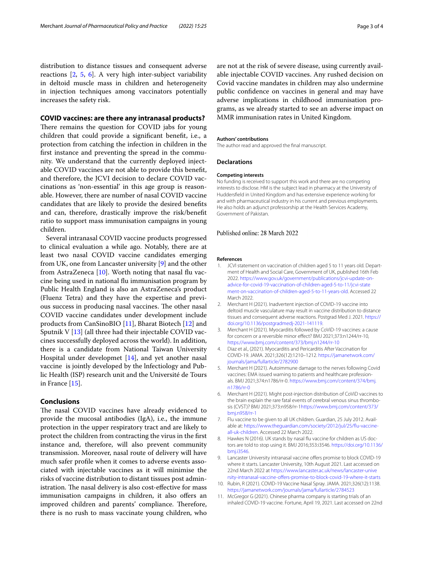distribution to distance tissues and consequent adverse reactions [[2](#page-2-5), [5,](#page-2-6) [6](#page-2-7)]. A very high inter-subject variability in deltoid muscle mass in children and heterogeneity in injection techniques among vaccinators potentially increases the safety risk.

## **COVID vaccines: are there any intranasal products?**

There remains the question for COVID jabs for young children that could provide a signifcant beneft, i.e., a protection from catching the infection in children in the frst instance and preventing the spread in the community. We understand that the currently deployed injectable COVID vaccines are not able to provide this beneft, and therefore, the JCVI decision to declare COVID vaccinations as 'non-essential' in this age group is reasonable. However, there are number of nasal COVID vaccine candidates that are likely to provide the desired benefts and can, therefore, drastically improve the risk/beneft ratio to support mass immunisation campaigns in young children.

Several intranasal COVID vaccine products progressed to clinical evaluation a while ago. Notably, there are at least two nasal COVID vaccine candidates emerging from UK, one from Lancaster university [\[9](#page-2-8)] and the other from AstraZeneca [\[10](#page-2-9)]. Worth noting that nasal flu vaccine being used in national fu immunisation program by Public Health England is also an AstraZeneca's product (Fluenz Tetra) and they have the expertise and previous success in producing nasal vaccines. The other nasal COVID vaccine candidates under development include products from CanSinoBIO [[11\]](#page-2-10), Bharat Biotech [[12\]](#page-3-14) and Sputnik V [\[13](#page-3-15)] (all three had their injectable COVID vaccines successfully deployed across the world). In addition, there is a candidate from National Taiwan University Hospital under developmet  $[14]$  $[14]$ , and yet another nasal vaccine is jointly developed by the lnfectiology and Public Health (ISP) research unit and the Université de Tours in France [\[15\]](#page-3-17).

## **Conclusions**

The nasal COVID vaccines have already evidenced to provide the mucosal antibodies (IgA), i.e., the immune protection in the upper respiratory tract and are likely to protect the children from contracting the virus in the frst instance and, therefore, will also prevent community transmission. Moreover, nasal route of delivery will have much safer profle when it comes to adverse events associated with injectable vaccines as it will minimise the risks of vaccine distribution to distant tissues post administration. The nasal delivery is also cost-effective for mass immunisation campaigns in children, it also offers an improved children and parents' compliance. Therefore, there is no rush to mass vaccinate young children, who are not at the risk of severe disease, using currently available injectable COVID vaccines. Any rushed decision on Covid vaccine mandates in children may also undermine public confdence on vaccines in general and may have adverse implications in childhood immunisation programs, as we already started to see an adverse impact on MMR immunisation rates in United Kingdom.

## **Authors' contributions**

The author read and approved the fnal manuscript.

#### **Declarations**

#### **Competing interests**

No funding is received to support this work and there are no competing interests to disclose. HM is the subject lead in pharmacy at the University of Huddersfeld in United Kingdom and has extensive experience working for and with pharmaceutical industry in his current and previous employments. He also holds an adjunct professorship at the Health Services Academy, Government of Pakistan.

## Published online: 28 March 2022

#### **References**

- <span id="page-2-0"></span>1. JCVI statement on vaccination of children aged 5 to 11 years old. Department of Health and Social Care, Government of UK, published 16th Feb 2022. [https://www.gov.uk/government/publications/jcvi-update-on](https://www.gov.uk/government/publications/jcvi-update-on-advice-for-covid-19-vaccination-of-children-aged-5-to-11/jcvi-statement-on-vaccination-of-children-aged-5-to-11-years-old)[advice-for-covid-19-vaccination-of-children-aged-5-to-11/jcvi-state](https://www.gov.uk/government/publications/jcvi-update-on-advice-for-covid-19-vaccination-of-children-aged-5-to-11/jcvi-statement-on-vaccination-of-children-aged-5-to-11-years-old) [ment-on-vaccination-of-children-aged-5-to-11-years-old.](https://www.gov.uk/government/publications/jcvi-update-on-advice-for-covid-19-vaccination-of-children-aged-5-to-11/jcvi-statement-on-vaccination-of-children-aged-5-to-11-years-old) Accessed 22 March 2022.
- <span id="page-2-5"></span>2. Merchant H (2021). Inadvertent injection of COVID-19 vaccine into deltoid muscle vasculature may result in vaccine distribution to distance tissues and consequent adverse reactions. Postgrad Med J. 2021. [https://](https://doi.org/10.1136/postgradmedj-2021-141119) [doi.org/10.1136/postgradmedj-2021-141119.](https://doi.org/10.1136/postgradmedj-2021-141119)
- <span id="page-2-3"></span>3. Merchant H (2021). Myocarditis followed by CoViD-19 vaccines: a cause for concern or a reversible minor efect? BMJ 2021;373:n1244/rr-10, <https://www.bmj.com/content/373/bmj.n1244/rr-10>
- <span id="page-2-4"></span>4. Diaz et al., (2021). Myocarditis and Pericarditis After Vaccination for COVID-19. JAMA. 2021;326(12):1210–1212. [https://jamanetwork.com/](https://jamanetwork.com/journals/jama/fullarticle/2782900) [journals/jama/fullarticle/2782900](https://jamanetwork.com/journals/jama/fullarticle/2782900)
- <span id="page-2-6"></span>5. Merchant H (2021). Autoimmune damage to the nerves following Covid vaccines: EMA issued warning to patients and healthcare professionals. BMJ 2021;374:n1786/rr-0. [https://www.bmj.com/content/374/bmj.](https://www.bmj.com/content/374/bmj.n1786/rr-0) [n1786/rr-0](https://www.bmj.com/content/374/bmj.n1786/rr-0)
- <span id="page-2-7"></span>6. Merchant H (2021). Might post-injection distribution of CoViD vaccines to the brain explain the rare fatal events of cerebral venous sinus thrombosis (CVST)? BMJ 2021;373:n958/rr-1[https://www.bmj.com/content/373/](https://www.bmj.com/content/373/bmj.n958/rr-1) [bmj.n958/rr-1](https://www.bmj.com/content/373/bmj.n958/rr-1)
- <span id="page-2-1"></span>7. Flu vaccine to be given to all UK children. Guardian, 25 July 2012. Available at: [https://www.theguardian.com/society/2012/jul/25/fu-vaccine](https://www.theguardian.com/society/2012/jul/25/flu-vaccine-all-uk-children)[all-uk-children](https://www.theguardian.com/society/2012/jul/25/flu-vaccine-all-uk-children). Accessed 22 March 2022.
- <span id="page-2-2"></span>8. Hawkes N (2016). UK stands by nasal flu vaccine for children as US doctors are told to stop using it. BMJ 2016;353:i3546. [https://doi.org/10.1136/](https://doi.org/10.1136/bmj.i3546) [bmj.i3546](https://doi.org/10.1136/bmj.i3546).
- <span id="page-2-8"></span>9. Lancaster University intranasal vaccine offers promise to block COVID-19 where it starts. Lancaster University, 10th August 2021. Last accessed on 22nd March 2022 at [https://www.lancaster.ac.uk/news/lancaster-unive](https://www.lancaster.ac.uk/news/lancaster-university-intranasal-vaccine-offers-promise-to-block-covid-19-where-it-starts) [rsity-intranasal-vaccine-ofers-promise-to-block-covid-19-where-it-starts](https://www.lancaster.ac.uk/news/lancaster-university-intranasal-vaccine-offers-promise-to-block-covid-19-where-it-starts)
- <span id="page-2-9"></span>10. Rubin, R (2021). COVID-19 Vaccine Nasal Spray. JAMA. 2021;326(12):1138. <https://jamanetwork.com/journals/jama/fullarticle/2784523>
- <span id="page-2-10"></span>11. McGregor G (2021). Chinese pharma company is starting trials of an inhaled COVID-19 vaccine. Fortune, April 19, 2021. Last accessed on 22nd